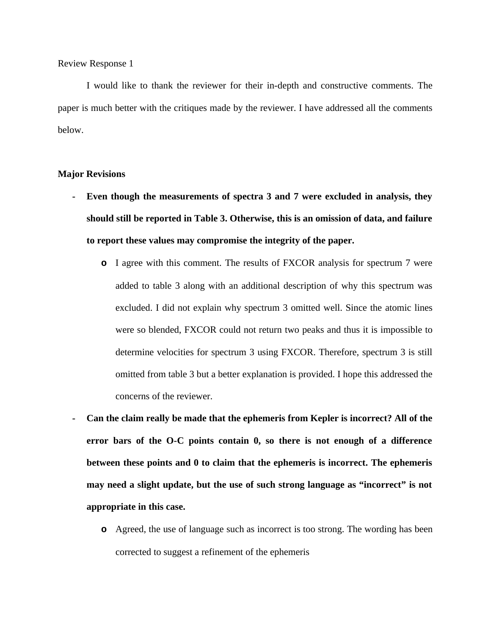I would like to thank the reviewer for their in-depth and constructive comments. The paper is much better with the critiques made by the reviewer. I have addressed all the comments below.

#### **Major Revisions**

- **- Even though the measurements of spectra 3 and 7 were excluded in analysis, they should still be reported in Table 3. Otherwise, this is an omission of data, and failure to report these values may compromise the integrity of the paper.**
	- **o** I agree with this comment. The results of FXCOR analysis for spectrum 7 were added to table 3 along with an additional description of why this spectrum was excluded. I did not explain why spectrum 3 omitted well. Since the atomic lines were so blended, FXCOR could not return two peaks and thus it is impossible to determine velocities for spectrum 3 using FXCOR. Therefore, spectrum 3 is still omitted from table 3 but a better explanation is provided. I hope this addressed the concerns of the reviewer.
- **- Can the claim really be made that the ephemeris from Kepler is incorrect? All of the error bars of the O-C points contain 0, so there is not enough of a difference between these points and 0 to claim that the ephemeris is incorrect. The ephemeris may need a slight update, but the use of such strong language as "incorrect" is not appropriate in this case.**
	- **o** Agreed, the use of language such as incorrect is too strong. The wording has been corrected to suggest a refinement of the ephemeris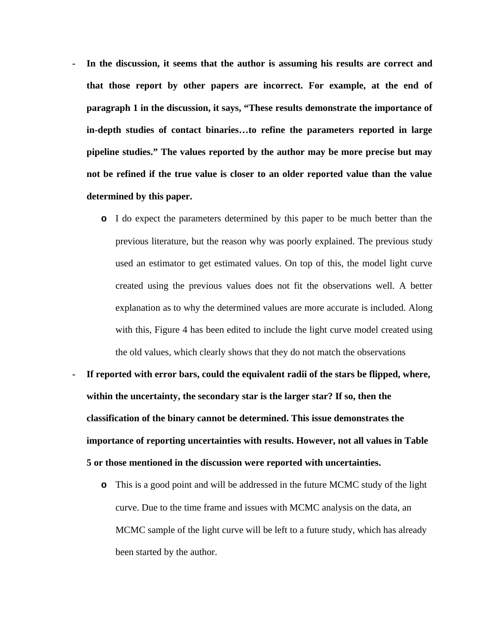- **- In the discussion, it seems that the author is assuming his results are correct and that those report by other papers are incorrect. For example, at the end of paragraph 1 in the discussion, it says, "These results demonstrate the importance of in-depth studies of contact binaries…to refine the parameters reported in large pipeline studies." The values reported by the author may be more precise but may not be refined if the true value is closer to an older reported value than the value determined by this paper.**
	- **o** I do expect the parameters determined by this paper to be much better than the previous literature, but the reason why was poorly explained. The previous study used an estimator to get estimated values. On top of this, the model light curve created using the previous values does not fit the observations well. A better explanation as to why the determined values are more accurate is included. Along with this, Figure 4 has been edited to include the light curve model created using the old values, which clearly shows that they do not match the observations
- **- If reported with error bars, could the equivalent radii of the stars be flipped, where, within the uncertainty, the secondary star is the larger star? If so, then the classification of the binary cannot be determined. This issue demonstrates the importance of reporting uncertainties with results. However, not all values in Table 5 or those mentioned in the discussion were reported with uncertainties.**
	- **o** This is a good point and will be addressed in the future MCMC study of the light curve. Due to the time frame and issues with MCMC analysis on the data, an MCMC sample of the light curve will be left to a future study, which has already been started by the author.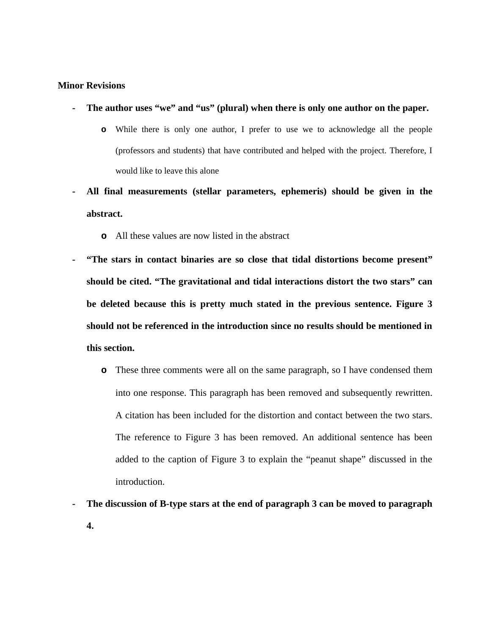### **Minor Revisions**

- **- The author uses "we" and "us" (plural) when there is only one author on the paper.**
	- **o** While there is only one author, I prefer to use we to acknowledge all the people (professors and students) that have contributed and helped with the project. Therefore, I would like to leave this alone
- **- All final measurements (stellar parameters, ephemeris) should be given in the abstract.**
	- **o** All these values are now listed in the abstract
- **- "The stars in contact binaries are so close that tidal distortions become present" should be cited. "The gravitational and tidal interactions distort the two stars" can be deleted because this is pretty much stated in the previous sentence. Figure 3 should not be referenced in the introduction since no results should be mentioned in this section.**
	- **o** These three comments were all on the same paragraph, so I have condensed them into one response. This paragraph has been removed and subsequently rewritten. A citation has been included for the distortion and contact between the two stars. The reference to Figure 3 has been removed. An additional sentence has been added to the caption of Figure 3 to explain the "peanut shape" discussed in the introduction.
- **- The discussion of B-type stars at the end of paragraph 3 can be moved to paragraph 4.**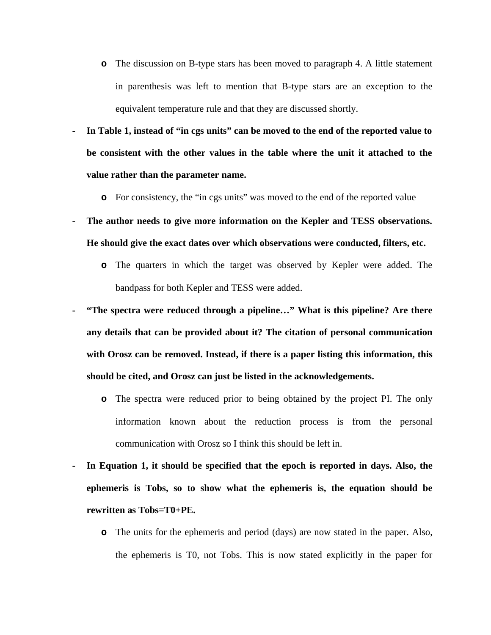- **o** The discussion on B-type stars has been moved to paragraph 4. A little statement in parenthesis was left to mention that B-type stars are an exception to the equivalent temperature rule and that they are discussed shortly.
- **- In Table 1, instead of "in cgs units" can be moved to the end of the reported value to be consistent with the other values in the table where the unit it attached to the value rather than the parameter name.**
	- **o** For consistency, the "in cgs units" was moved to the end of the reported value
- **- The author needs to give more information on the Kepler and TESS observations. He should give the exact dates over which observations were conducted, filters, etc.**
	- **o** The quarters in which the target was observed by Kepler were added. The bandpass for both Kepler and TESS were added.
- **- "The spectra were reduced through a pipeline…" What is this pipeline? Are there any details that can be provided about it? The citation of personal communication with Orosz can be removed. Instead, if there is a paper listing this information, this should be cited, and Orosz can just be listed in the acknowledgements.**
	- **o** The spectra were reduced prior to being obtained by the project PI. The only information known about the reduction process is from the personal communication with Orosz so I think this should be left in.
- **- In Equation 1, it should be specified that the epoch is reported in days. Also, the ephemeris is Tobs, so to show what the ephemeris is, the equation should be rewritten as Tobs=T0+PE.**
	- **o** The units for the ephemeris and period (days) are now stated in the paper. Also, the ephemeris is T0, not Tobs. This is now stated explicitly in the paper for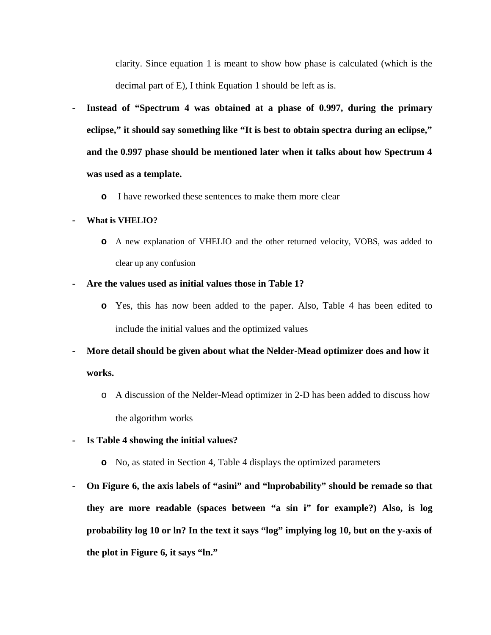clarity. Since equation 1 is meant to show how phase is calculated (which is the decimal part of E), I think Equation 1 should be left as is.

- **- Instead of "Spectrum 4 was obtained at a phase of 0.997, during the primary eclipse," it should say something like "It is best to obtain spectra during an eclipse," and the 0.997 phase should be mentioned later when it talks about how Spectrum 4 was used as a template.**
	- **o** I have reworked these sentences to make them more clear

#### **- What is VHELIO?**

**o** A new explanation of VHELIO and the other returned velocity, VOBS, was added to clear up any confusion

#### **- Are the values used as initial values those in Table 1?**

- **o** Yes, this has now been added to the paper. Also, Table 4 has been edited to include the initial values and the optimized values
- **- More detail should be given about what the Nelder-Mead optimizer does and how it works.**
	- o A discussion of the Nelder-Mead optimizer in 2-D has been added to discuss how the algorithm works
- **- Is Table 4 showing the initial values?**
	- **o** No, as stated in Section 4, Table 4 displays the optimized parameters
- **- On Figure 6, the axis labels of "asini" and "lnprobability" should be remade so that they are more readable (spaces between "a sin i" for example?) Also, is log probability log 10 or ln? In the text it says "log" implying log 10, but on the y-axis of the plot in Figure 6, it says "ln."**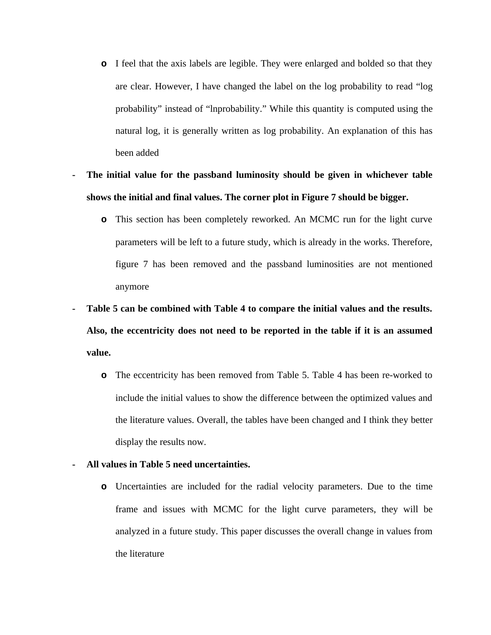- **o** I feel that the axis labels are legible. They were enlarged and bolded so that they are clear. However, I have changed the label on the log probability to read "log probability" instead of "lnprobability." While this quantity is computed using the natural log, it is generally written as log probability. An explanation of this has been added
- **- The initial value for the passband luminosity should be given in whichever table shows the initial and final values. The corner plot in Figure 7 should be bigger.**
	- **o** This section has been completely reworked. An MCMC run for the light curve parameters will be left to a future study, which is already in the works. Therefore, figure 7 has been removed and the passband luminosities are not mentioned anymore
- **- Table 5 can be combined with Table 4 to compare the initial values and the results. Also, the eccentricity does not need to be reported in the table if it is an assumed value.**
	- **o** The eccentricity has been removed from Table 5. Table 4 has been re-worked to include the initial values to show the difference between the optimized values and the literature values. Overall, the tables have been changed and I think they better display the results now.
- **- All values in Table 5 need uncertainties.**
	- **o** Uncertainties are included for the radial velocity parameters. Due to the time frame and issues with MCMC for the light curve parameters, they will be analyzed in a future study. This paper discusses the overall change in values from the literature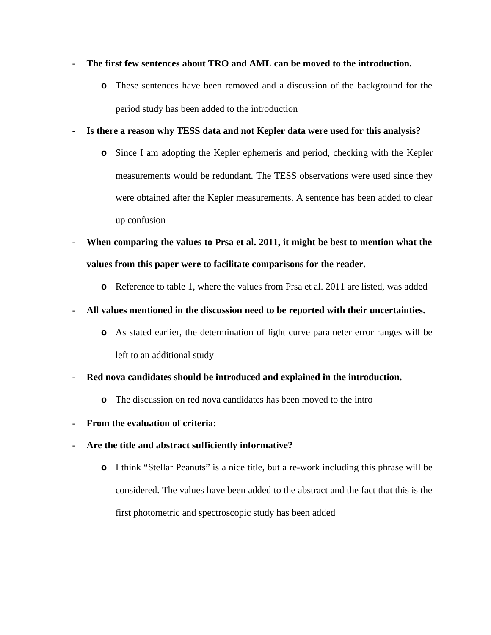## **- The first few sentences about TRO and AML can be moved to the introduction.**

**o** These sentences have been removed and a discussion of the background for the period study has been added to the introduction

## **- Is there a reason why TESS data and not Kepler data were used for this analysis?**

- **o** Since I am adopting the Kepler ephemeris and period, checking with the Kepler measurements would be redundant. The TESS observations were used since they were obtained after the Kepler measurements. A sentence has been added to clear up confusion
- **- When comparing the values to Prsa et al. 2011, it might be best to mention what the values from this paper were to facilitate comparisons for the reader.**
	- **o** Reference to table 1, where the values from Prsa et al. 2011 are listed, was added

## **- All values mentioned in the discussion need to be reported with their uncertainties.**

- **o** As stated earlier, the determination of light curve parameter error ranges will be left to an additional study
- **- Red nova candidates should be introduced and explained in the introduction.**
	- **o** The discussion on red nova candidates has been moved to the intro
- **- From the evaluation of criteria:**
- **- Are the title and abstract sufficiently informative?**
	- **o** I think "Stellar Peanuts" is a nice title, but a re-work including this phrase will be considered. The values have been added to the abstract and the fact that this is the first photometric and spectroscopic study has been added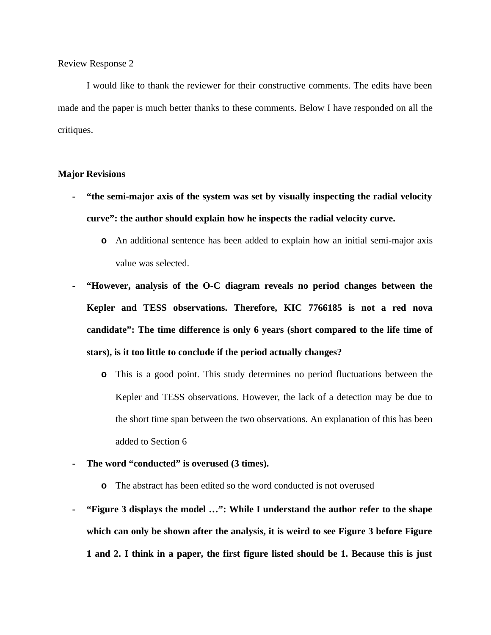I would like to thank the reviewer for their constructive comments. The edits have been made and the paper is much better thanks to these comments. Below I have responded on all the critiques.

### **Major Revisions**

- **- "the semi-major axis of the system was set by visually inspecting the radial velocity curve": the author should explain how he inspects the radial velocity curve.**
	- **o** An additional sentence has been added to explain how an initial semi-major axis value was selected.
- **- "However, analysis of the O-C diagram reveals no period changes between the Kepler and TESS observations. Therefore, KIC 7766185 is not a red nova candidate": The time difference is only 6 years (short compared to the life time of stars), is it too little to conclude if the period actually changes?**
	- **o** This is a good point. This study determines no period fluctuations between the Kepler and TESS observations. However, the lack of a detection may be due to the short time span between the two observations. An explanation of this has been added to Section 6
- **- The word "conducted" is overused (3 times).**
	- **o** The abstract has been edited so the word conducted is not overused
- **- "Figure 3 displays the model …": While I understand the author refer to the shape which can only be shown after the analysis, it is weird to see Figure 3 before Figure 1 and 2. I think in a paper, the first figure listed should be 1. Because this is just**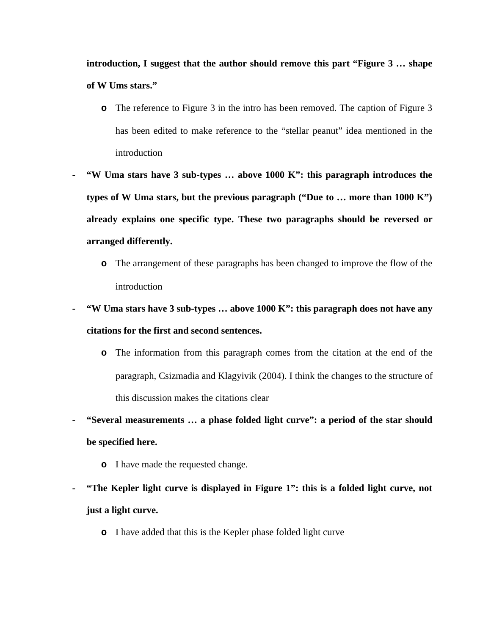**introduction, I suggest that the author should remove this part "Figure 3 … shape of W Ums stars."**

- **o** The reference to Figure 3 in the intro has been removed. The caption of Figure 3 has been edited to make reference to the "stellar peanut" idea mentioned in the introduction
- **- "W Uma stars have 3 sub-types … above 1000 K": this paragraph introduces the types of W Uma stars, but the previous paragraph ("Due to … more than 1000 K") already explains one specific type. These two paragraphs should be reversed or arranged differently.**
	- **o** The arrangement of these paragraphs has been changed to improve the flow of the introduction
- **- "W Uma stars have 3 sub-types … above 1000 K": this paragraph does not have any citations for the first and second sentences.**
	- **o** The information from this paragraph comes from the citation at the end of the paragraph, Csizmadia and Klagyivik (2004). I think the changes to the structure of this discussion makes the citations clear
- **- "Several measurements … a phase folded light curve": a period of the star should be specified here.**
	- **o** I have made the requested change.
- **- "The Kepler light curve is displayed in Figure 1": this is a folded light curve, not just a light curve.**
	- **o** I have added that this is the Kepler phase folded light curve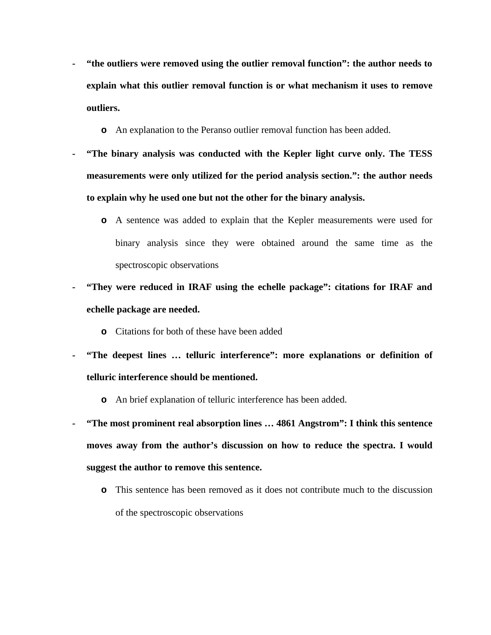- **- "the outliers were removed using the outlier removal function": the author needs to explain what this outlier removal function is or what mechanism it uses to remove outliers.**
	- **o** An explanation to the Peranso outlier removal function has been added.
- **- "The binary analysis was conducted with the Kepler light curve only. The TESS measurements were only utilized for the period analysis section.": the author needs to explain why he used one but not the other for the binary analysis.**
	- **o** A sentence was added to explain that the Kepler measurements were used for binary analysis since they were obtained around the same time as the spectroscopic observations
- **- "They were reduced in IRAF using the echelle package": citations for IRAF and echelle package are needed.**
	- **o** Citations for both of these have been added
- **- "The deepest lines … telluric interference": more explanations or definition of telluric interference should be mentioned.**
	- **o** An brief explanation of telluric interference has been added.
- **- "The most prominent real absorption lines … 4861 Angstrom": I think this sentence moves away from the author's discussion on how to reduce the spectra. I would suggest the author to remove this sentence.**
	- **o** This sentence has been removed as it does not contribute much to the discussion of the spectroscopic observations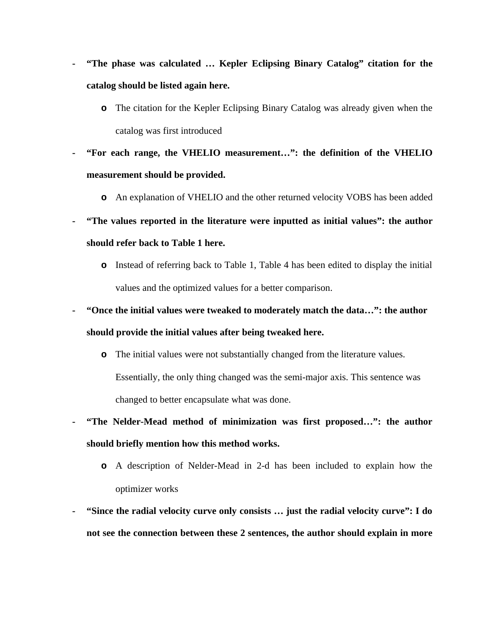- **- "The phase was calculated … Kepler Eclipsing Binary Catalog" citation for the catalog should be listed again here.**
	- **o** The citation for the Kepler Eclipsing Binary Catalog was already given when the catalog was first introduced
- **- "For each range, the VHELIO measurement…": the definition of the VHELIO measurement should be provided.**
	- **o** An explanation of VHELIO and the other returned velocity VOBS has been added
- **- "The values reported in the literature were inputted as initial values": the author should refer back to Table 1 here.**
	- **o** Instead of referring back to Table 1, Table 4 has been edited to display the initial values and the optimized values for a better comparison.
- **- "Once the initial values were tweaked to moderately match the data…": the author should provide the initial values after being tweaked here.**
	- **o** The initial values were not substantially changed from the literature values. Essentially, the only thing changed was the semi-major axis. This sentence was changed to better encapsulate what was done.
- **- "The Nelder-Mead method of minimization was first proposed…": the author should briefly mention how this method works.**
	- **o** A description of Nelder-Mead in 2-d has been included to explain how the optimizer works
- **- "Since the radial velocity curve only consists … just the radial velocity curve": I do not see the connection between these 2 sentences, the author should explain in more**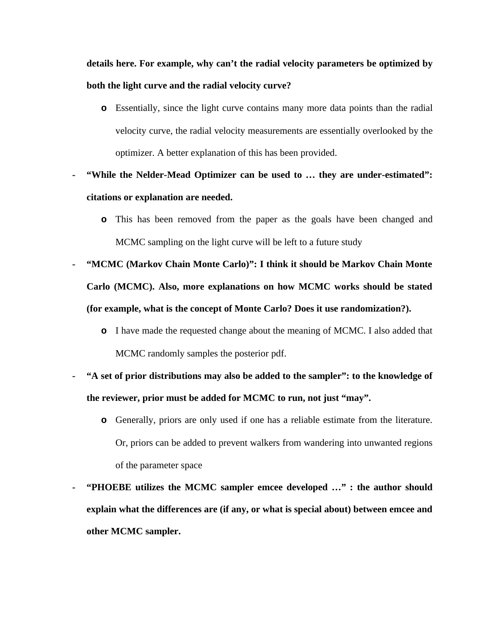**details here. For example, why can't the radial velocity parameters be optimized by both the light curve and the radial velocity curve?**

- **o** Essentially, since the light curve contains many more data points than the radial velocity curve, the radial velocity measurements are essentially overlooked by the optimizer. A better explanation of this has been provided.
- **- "While the Nelder-Mead Optimizer can be used to … they are under-estimated": citations or explanation are needed.**
	- **o** This has been removed from the paper as the goals have been changed and MCMC sampling on the light curve will be left to a future study
- **- "MCMC (Markov Chain Monte Carlo)": I think it should be Markov Chain Monte Carlo (MCMC). Also, more explanations on how MCMC works should be stated (for example, what is the concept of Monte Carlo? Does it use randomization?).**
	- **o** I have made the requested change about the meaning of MCMC. I also added that MCMC randomly samples the posterior pdf.
- **- "A set of prior distributions may also be added to the sampler": to the knowledge of the reviewer, prior must be added for MCMC to run, not just "may".**
	- **o** Generally, priors are only used if one has a reliable estimate from the literature. Or, priors can be added to prevent walkers from wandering into unwanted regions of the parameter space
- **- "PHOEBE utilizes the MCMC sampler emcee developed …" : the author should explain what the differences are (if any, or what is special about) between emcee and other MCMC sampler.**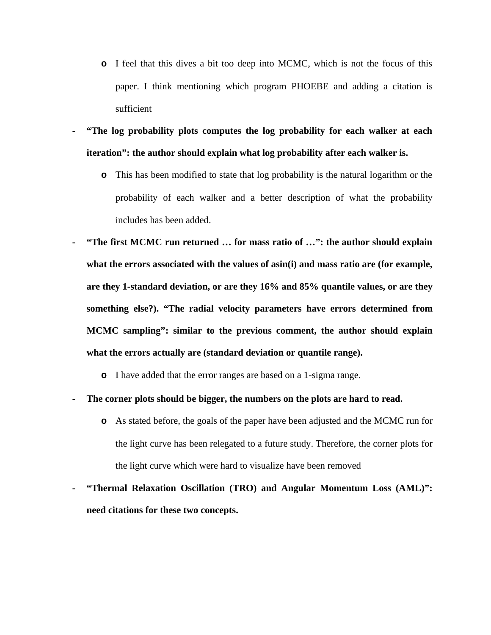- **o** I feel that this dives a bit too deep into MCMC, which is not the focus of this paper. I think mentioning which program PHOEBE and adding a citation is sufficient
- **- "The log probability plots computes the log probability for each walker at each iteration": the author should explain what log probability after each walker is.**
	- **o** This has been modified to state that log probability is the natural logarithm or the probability of each walker and a better description of what the probability includes has been added.
- **- "The first MCMC run returned … for mass ratio of …": the author should explain what the errors associated with the values of asin(i) and mass ratio are (for example, are they 1-standard deviation, or are they 16% and 85% quantile values, or are they something else?). "The radial velocity parameters have errors determined from MCMC sampling": similar to the previous comment, the author should explain what the errors actually are (standard deviation or quantile range).**
	- **o** I have added that the error ranges are based on a 1-sigma range.
- **- The corner plots should be bigger, the numbers on the plots are hard to read.**
	- **o** As stated before, the goals of the paper have been adjusted and the MCMC run for the light curve has been relegated to a future study. Therefore, the corner plots for the light curve which were hard to visualize have been removed
- **- "Thermal Relaxation Oscillation (TRO) and Angular Momentum Loss (AML)": need citations for these two concepts.**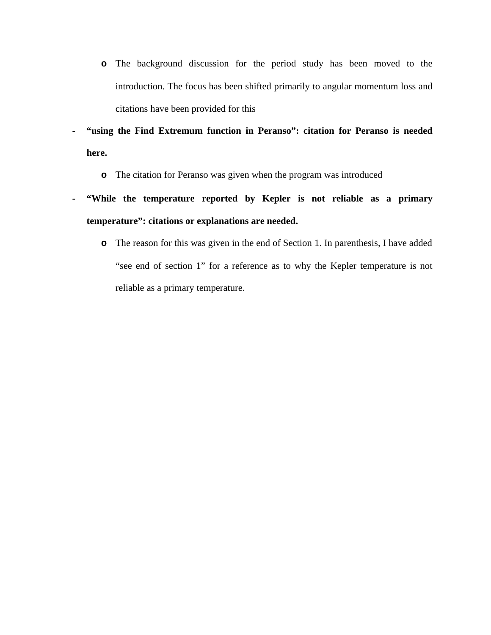- **o** The background discussion for the period study has been moved to the introduction. The focus has been shifted primarily to angular momentum loss and citations have been provided for this
- **- "using the Find Extremum function in Peranso": citation for Peranso is needed here.**
	- **o** The citation for Peranso was given when the program was introduced
- **- "While the temperature reported by Kepler is not reliable as a primary temperature": citations or explanations are needed.**
	- **o** The reason for this was given in the end of Section 1. In parenthesis, I have added "see end of section 1" for a reference as to why the Kepler temperature is not reliable as a primary temperature.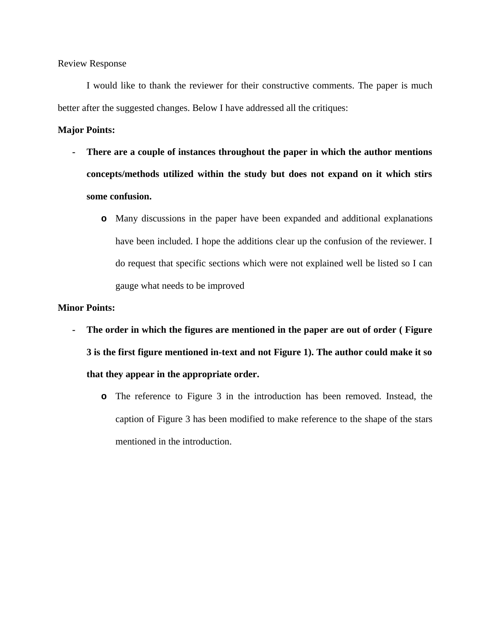I would like to thank the reviewer for their constructive comments. The paper is much better after the suggested changes. Below I have addressed all the critiques:

### **Major Points:**

- **- There are a couple of instances throughout the paper in which the author mentions concepts/methods utilized within the study but does not expand on it which stirs some confusion.**
	- **o** Many discussions in the paper have been expanded and additional explanations have been included. I hope the additions clear up the confusion of the reviewer. I do request that specific sections which were not explained well be listed so I can gauge what needs to be improved

### **Minor Points:**

- **- The order in which the figures are mentioned in the paper are out of order ( Figure 3 is the first figure mentioned in-text and not Figure 1). The author could make it so that they appear in the appropriate order.**
	- **o** The reference to Figure 3 in the introduction has been removed. Instead, the caption of Figure 3 has been modified to make reference to the shape of the stars mentioned in the introduction.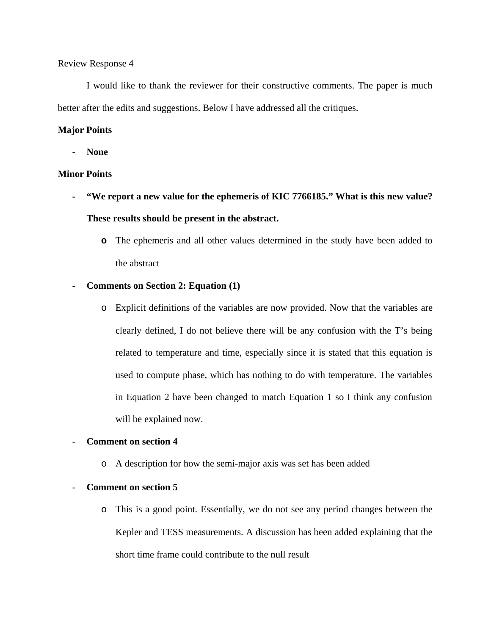I would like to thank the reviewer for their constructive comments. The paper is much better after the edits and suggestions. Below I have addressed all the critiques.

### **Major Points**

**- None**

#### **Minor Points**

- **- "We report a new value for the ephemeris of KIC 7766185." What is this new value? These results should be present in the abstract.** 
	- **o** The ephemeris and all other values determined in the study have been added to the abstract

#### - **Comments on Section 2: Equation (1)**

o Explicit definitions of the variables are now provided. Now that the variables are clearly defined, I do not believe there will be any confusion with the T's being related to temperature and time, especially since it is stated that this equation is used to compute phase, which has nothing to do with temperature. The variables in Equation 2 have been changed to match Equation 1 so I think any confusion will be explained now.

### - **Comment on section 4**

o A description for how the semi-major axis was set has been added

#### - **Comment on section 5**

o This is a good point. Essentially, we do not see any period changes between the Kepler and TESS measurements. A discussion has been added explaining that the short time frame could contribute to the null result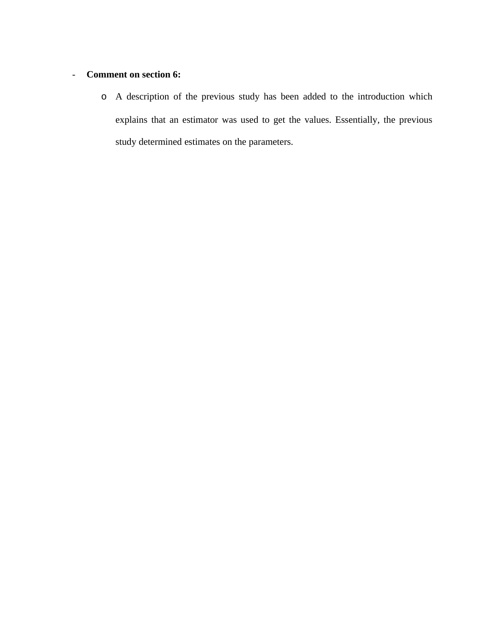# - **Comment on section 6:**

o A description of the previous study has been added to the introduction which explains that an estimator was used to get the values. Essentially, the previous study determined estimates on the parameters.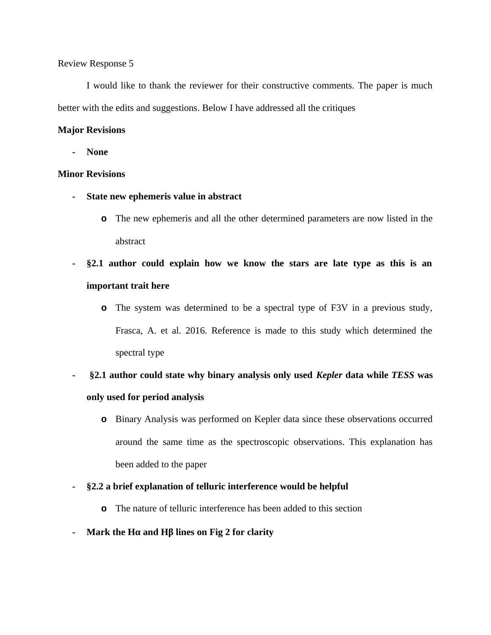I would like to thank the reviewer for their constructive comments. The paper is much better with the edits and suggestions. Below I have addressed all the critiques

### **Major Revisions**

**- None**

### **Minor Revisions**

- **- State new ephemeris value in abstract**
	- **o** The new ephemeris and all the other determined parameters are now listed in the abstract
- **- §2.1 author could explain how we know the stars are late type as this is an important trait here**
	- **o** The system was determined to be a spectral type of F3V in a previous study, Frasca, A. et al. 2016. Reference is made to this study which determined the spectral type
- **§2.1 author could state why binary analysis only used** *Kepler* **data while** *TESS* **was only used for period analysis**
	- **o** Binary Analysis was performed on Kepler data since these observations occurred around the same time as the spectroscopic observations. This explanation has been added to the paper
- **- §2.2 a brief explanation of telluric interference would be helpful**
	- **o** The nature of telluric interference has been added to this section
- **- Mark the Hα and Hβ lines on Fig 2 for clarity**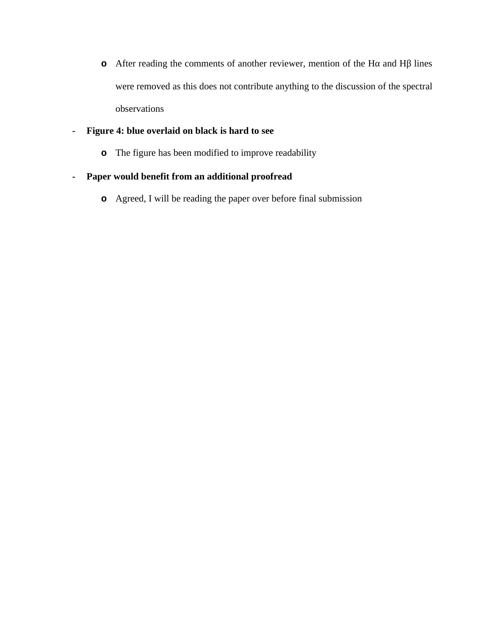**o** After reading the comments of another reviewer, mention of the Hα and Hβ lines were removed as this does not contribute anything to the discussion of the spectral observations

# **- Figure 4: blue overlaid on black is hard to see**

**o** The figure has been modified to improve readability

# **- Paper would benefit from an additional proofread**

**o** Agreed, I will be reading the paper over before final submission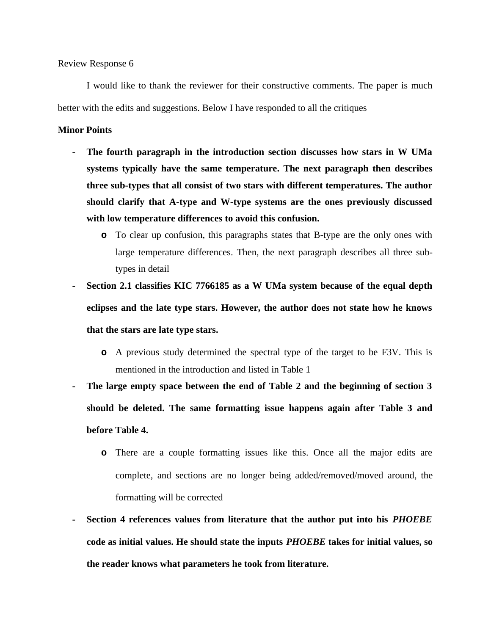I would like to thank the reviewer for their constructive comments. The paper is much better with the edits and suggestions. Below I have responded to all the critiques

#### **Minor Points**

- **- The fourth paragraph in the introduction section discusses how stars in W UMa systems typically have the same temperature. The next paragraph then describes three sub-types that all consist of two stars with different temperatures. The author should clarify that A-type and W-type systems are the ones previously discussed with low temperature differences to avoid this confusion.** 
	- **o** To clear up confusion, this paragraphs states that B-type are the only ones with large temperature differences. Then, the next paragraph describes all three subtypes in detail
- **- Section 2.1 classifies KIC 7766185 as a W UMa system because of the equal depth eclipses and the late type stars. However, the author does not state how he knows that the stars are late type stars.** 
	- **o** A previous study determined the spectral type of the target to be F3V. This is mentioned in the introduction and listed in Table 1
- **- The large empty space between the end of Table 2 and the beginning of section 3 should be deleted. The same formatting issue happens again after Table 3 and before Table 4.** 
	- **o** There are a couple formatting issues like this. Once all the major edits are complete, and sections are no longer being added/removed/moved around, the formatting will be corrected
- **- Section 4 references values from literature that the author put into his** *PHOEBE* **code as initial values. He should state the inputs** *PHOEBE* **takes for initial values, so the reader knows what parameters he took from literature.**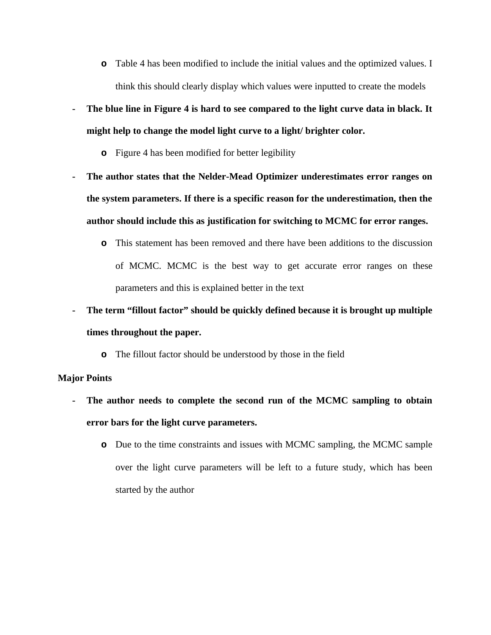- **o** Table 4 has been modified to include the initial values and the optimized values. I think this should clearly display which values were inputted to create the models
- **- The blue line in Figure 4 is hard to see compared to the light curve data in black. It might help to change the model light curve to a light/ brighter color.** 
	- **o** Figure 4 has been modified for better legibility
- **- The author states that the Nelder-Mead Optimizer underestimates error ranges on the system parameters. If there is a specific reason for the underestimation, then the author should include this as justification for switching to MCMC for error ranges.** 
	- **o** This statement has been removed and there have been additions to the discussion of MCMC. MCMC is the best way to get accurate error ranges on these parameters and this is explained better in the text
- **- The term "fillout factor" should be quickly defined because it is brought up multiple times throughout the paper.** 
	- **o** The fillout factor should be understood by those in the field

### **Major Points**

- **- The author needs to complete the second run of the MCMC sampling to obtain error bars for the light curve parameters.** 
	- **o** Due to the time constraints and issues with MCMC sampling, the MCMC sample over the light curve parameters will be left to a future study, which has been started by the author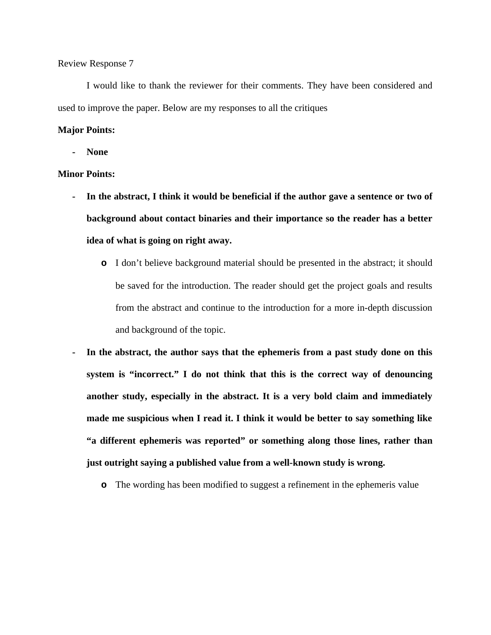I would like to thank the reviewer for their comments. They have been considered and used to improve the paper. Below are my responses to all the critiques

#### **Major Points:**

**- None**

#### **Minor Points:**

- **- In the abstract, I think it would be beneficial if the author gave a sentence or two of background about contact binaries and their importance so the reader has a better idea of what is going on right away.**
	- **o** I don't believe background material should be presented in the abstract; it should be saved for the introduction. The reader should get the project goals and results from the abstract and continue to the introduction for a more in-depth discussion and background of the topic.
- **- In the abstract, the author says that the ephemeris from a past study done on this system is "incorrect." I do not think that this is the correct way of denouncing another study, especially in the abstract. It is a very bold claim and immediately made me suspicious when I read it. I think it would be better to say something like "a different ephemeris was reported" or something along those lines, rather than just outright saying a published value from a well-known study is wrong.**
	- **o** The wording has been modified to suggest a refinement in the ephemeris value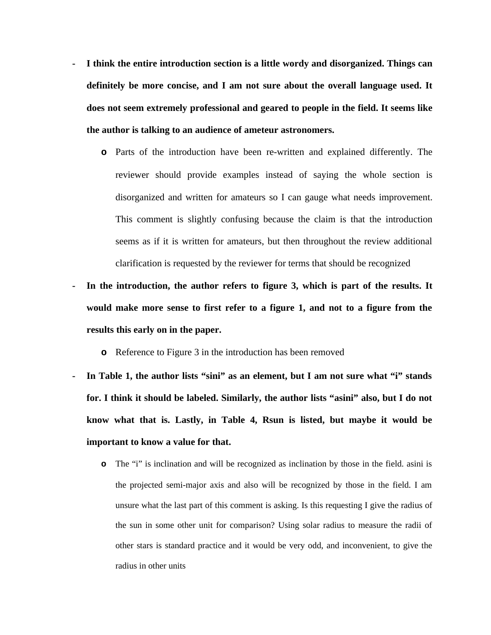- **- I think the entire introduction section is a little wordy and disorganized. Things can definitely be more concise, and I am not sure about the overall language used. It does not seem extremely professional and geared to people in the field. It seems like the author is talking to an audience of ameteur astronomers.**
	- **o** Parts of the introduction have been re-written and explained differently. The reviewer should provide examples instead of saying the whole section is disorganized and written for amateurs so I can gauge what needs improvement. This comment is slightly confusing because the claim is that the introduction seems as if it is written for amateurs, but then throughout the review additional clarification is requested by the reviewer for terms that should be recognized
- **- In the introduction, the author refers to figure 3, which is part of the results. It would make more sense to first refer to a figure 1, and not to a figure from the results this early on in the paper.**
	- **o** Reference to Figure 3 in the introduction has been removed
- **- In Table 1, the author lists "sini" as an element, but I am not sure what "i" stands for. I think it should be labeled. Similarly, the author lists "asini" also, but I do not know what that is. Lastly, in Table 4, Rsun is listed, but maybe it would be important to know a value for that.**
	- **o** The "i" is inclination and will be recognized as inclination by those in the field. asini is the projected semi-major axis and also will be recognized by those in the field. I am unsure what the last part of this comment is asking. Is this requesting I give the radius of the sun in some other unit for comparison? Using solar radius to measure the radii of other stars is standard practice and it would be very odd, and inconvenient, to give the radius in other units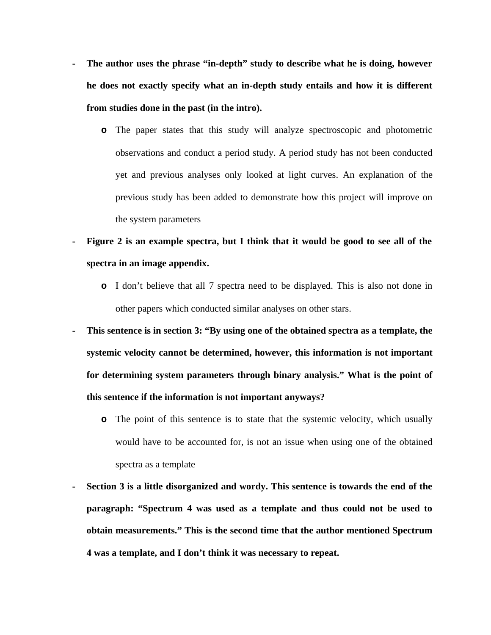- **- The author uses the phrase "in-depth" study to describe what he is doing, however he does not exactly specify what an in-depth study entails and how it is different from studies done in the past (in the intro).**
	- **o** The paper states that this study will analyze spectroscopic and photometric observations and conduct a period study. A period study has not been conducted yet and previous analyses only looked at light curves. An explanation of the previous study has been added to demonstrate how this project will improve on the system parameters
- **- Figure 2 is an example spectra, but I think that it would be good to see all of the spectra in an image appendix.**
	- **o** I don't believe that all 7 spectra need to be displayed. This is also not done in other papers which conducted similar analyses on other stars.
- **- This sentence is in section 3: "By using one of the obtained spectra as a template, the systemic velocity cannot be determined, however, this information is not important for determining system parameters through binary analysis." What is the point of this sentence if the information is not important anyways?**
	- **o** The point of this sentence is to state that the systemic velocity, which usually would have to be accounted for, is not an issue when using one of the obtained spectra as a template
- **- Section 3 is a little disorganized and wordy. This sentence is towards the end of the paragraph: "Spectrum 4 was used as a template and thus could not be used to obtain measurements." This is the second time that the author mentioned Spectrum 4 was a template, and I don't think it was necessary to repeat.**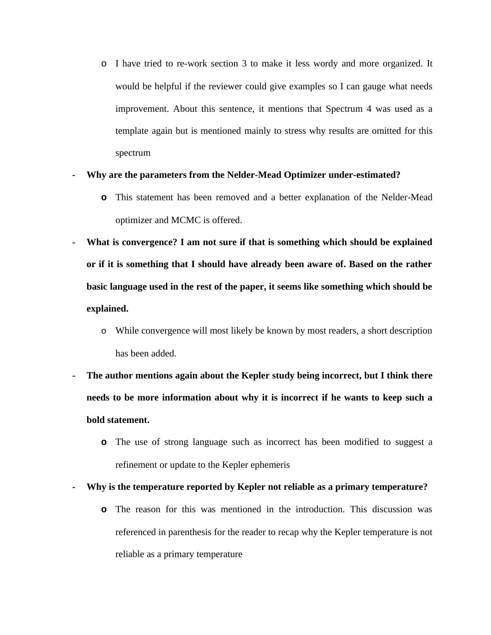o I have tried to re-work section 3 to make it less wordy and more organized. It would be helpful if the reviewer could give examples so I can gauge what needs improvement. About this sentence, it mentions that Spectrum 4 was used as a template again but is mentioned mainly to stress why results are omitted for this spectrum

### **- Why are the parameters from the Nelder-Mead Optimizer under-estimated?**

- **o** This statement has been removed and a better explanation of the Nelder-Mead optimizer and MCMC is offered.
- **- What is convergence? I am not sure if that is something which should be explained or if it is something that I should have already been aware of. Based on the rather basic language used in the rest of the paper, it seems like something which should be explained.**
	- o While convergence will most likely be known by most readers, a short description has been added.
- **- The author mentions again about the Kepler study being incorrect, but I think there needs to be more information about why it is incorrect if he wants to keep such a bold statement.**
	- **o** The use of strong language such as incorrect has been modified to suggest a refinement or update to the Kepler ephemeris
- **- Why is the temperature reported by Kepler not reliable as a primary temperature?**
	- **o** The reason for this was mentioned in the introduction. This discussion was referenced in parenthesis for the reader to recap why the Kepler temperature is not reliable as a primary temperature